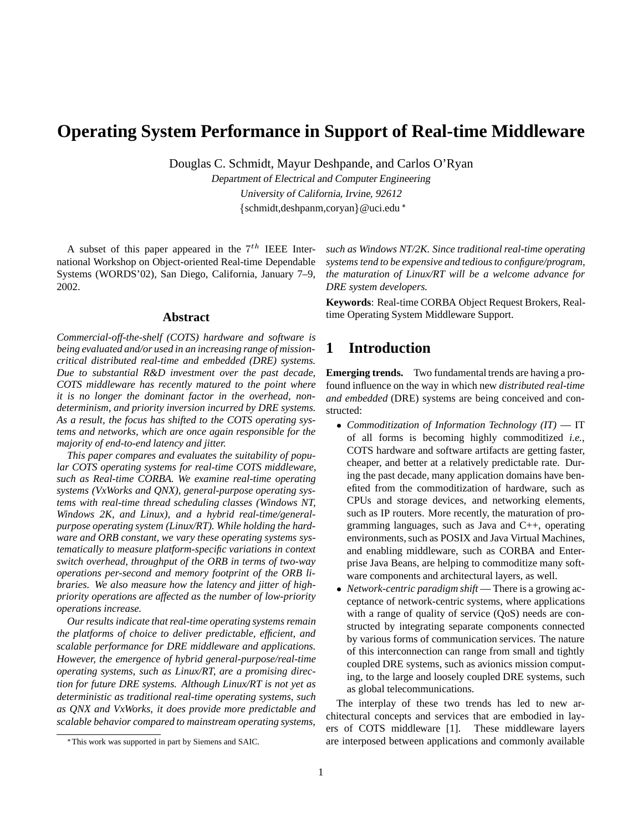# **Operating System Performance in Support of Real-time Middleware**

Douglas C. Schmidt, Mayur Deshpande, and Carlos O'Ryan

Department of Electrical and Computer Engineering University of California, Irvine, 92612 {schmidt,deshpanm,coryan}@uci.edu \*

A subset of this paper appeared in the  $7<sup>th</sup>$  IEEE International Workshop on Object-oriented Real-time Dependable Systems (WORDS'02), San Diego, California, January 7–9, 2002.

#### **Abstract**

*Commercial-off-the-shelf (COTS) hardware and software is being evaluated and/or used in an increasing range of missioncritical distributed real-time and embedded (DRE) systems. Due to substantial R&D investment over the past decade, COTS middleware has recently matured to the point where it is no longer the dominant factor in the overhead, nondeterminism, and priority inversion incurred by DRE systems. As a result, the focus has shifted to the COTS operating systems and networks, which are once again responsible for the majority of end-to-end latency and jitter.*

*This paper compares and evaluates the suitability of popular COTS operating systems for real-time COTS middleware, such as Real-time CORBA. We examine real-time operating systems (VxWorks and QNX), general-purpose operating systems with real-time thread scheduling classes (Windows NT, Windows 2K, and Linux), and a hybrid real-time/generalpurpose operating system (Linux/RT). While holding the hardware and ORB constant, we vary these operating systems systematically to measure platform-specific variations in context switch overhead, throughput of the ORB in terms of two-way operations per-second and memory footprint of the ORB libraries. We also measure how the latency and jitter of highpriority operations are affected as the number of low-priority operations increase.*

*Our results indicate that real-time operating systems remain the platforms of choice to deliver predictable, efficient, and scalable performance for DRE middleware and applications. However, the emergence of hybrid general-purpose/real-time operating systems, such as Linux/RT, are a promising direction for future DRE systems. Although Linux/RT is not yet as deterministic as traditional real-time operating systems, such as QNX and VxWorks, it does provide more predictable and scalable behavior compared to mainstream operating systems,*

*such as Windows NT/2K. Since traditional real-time operating systems tend to be expensive and tedious to configure/program, the maturation of Linux/RT will be a welcome advance for DRE system developers.*

**Keywords**: Real-time CORBA Object Request Brokers, Realtime Operating System Middleware Support.

# **1 Introduction**

**Emerging trends.** Two fundamental trends are having a profound influence on the way in which new *distributed real-time and embedded* (DRE) systems are being conceived and constructed:

- *Commoditization of Information Technology (IT)* IT of all forms is becoming highly commoditized *i.e.*, COTS hardware and software artifacts are getting faster, cheaper, and better at a relatively predictable rate. During the past decade, many application domains have benefited from the commoditization of hardware, such as CPUs and storage devices, and networking elements, such as IP routers. More recently, the maturation of programming languages, such as Java and C++, operating environments, such as POSIX and Java Virtual Machines, and enabling middleware, such as CORBA and Enterprise Java Beans, are helping to commoditize many software components and architectural layers, as well.
- *Network-centric paradigm shift* There is a growing acceptance of network-centric systems, where applications with a range of quality of service (OoS) needs are constructed by integrating separate components connected by various forms of communication services. The nature of this interconnection can range from small and tightly coupled DRE systems, such as avionics mission computing, to the large and loosely coupled DRE systems, such as global telecommunications.

The interplay of these two trends has led to new architectural concepts and services that are embodied in layers of COTS middleware [1]. These middleware layers are interposed between applications and commonly available

This work was supported in part by Siemens and SAIC.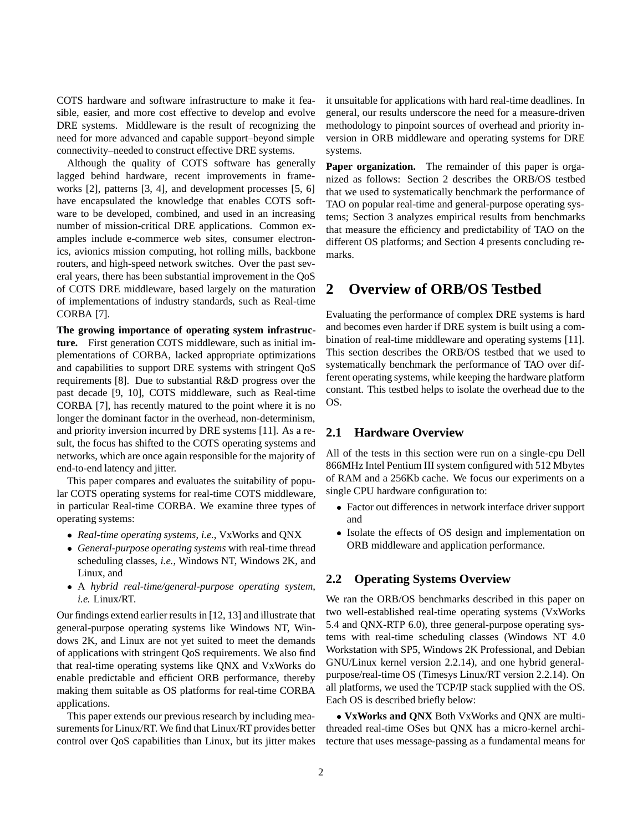COTS hardware and software infrastructure to make it feasible, easier, and more cost effective to develop and evolve DRE systems. Middleware is the result of recognizing the need for more advanced and capable support–beyond simple connectivity–needed to construct effective DRE systems.

Although the quality of COTS software has generally lagged behind hardware, recent improvements in frameworks [2], patterns [3, 4], and development processes [5, 6] have encapsulated the knowledge that enables COTS software to be developed, combined, and used in an increasing number of mission-critical DRE applications. Common examples include e-commerce web sites, consumer electronics, avionics mission computing, hot rolling mills, backbone routers, and high-speed network switches. Over the past several years, there has been substantial improvement in the QoS of COTS DRE middleware, based largely on the maturation of implementations of industry standards, such as Real-time CORBA [7].

**The growing importance of operating system infrastructure.** First generation COTS middleware, such as initial implementations of CORBA, lacked appropriate optimizations and capabilities to support DRE systems with stringent QoS requirements [8]. Due to substantial R&D progress over the past decade [9, 10], COTS middleware, such as Real-time CORBA [7], has recently matured to the point where it is no longer the dominant factor in the overhead, non-determinism, and priority inversion incurred by DRE systems [11]. As a result, the focus has shifted to the COTS operating systems and networks, which are once again responsible for the majority of end-to-end latency and jitter.

This paper compares and evaluates the suitability of popular COTS operating systems for real-time COTS middleware, in particular Real-time CORBA. We examine three types of operating systems:

- *Real-time operating systems*, *i.e.*, VxWorks and QNX
- *General-purpose operating systems* with real-time thread scheduling classes, *i.e.*, Windows NT, Windows 2K, and Linux, and
- A *hybrid real-time/general-purpose operating system*, *i.e.* Linux/RT.

Our findings extend earlier results in [12, 13] and illustrate that general-purpose operating systems like Windows NT, Windows 2K, and Linux are not yet suited to meet the demands of applications with stringent QoS requirements. We also find that real-time operating systems like QNX and VxWorks do enable predictable and efficient ORB performance, thereby making them suitable as OS platforms for real-time CORBA applications.

This paper extends our previous research by including measurements for Linux/RT. We find that Linux/RT provides better control over QoS capabilities than Linux, but its jitter makes it unsuitable for applications with hard real-time deadlines. In general, our results underscore the need for a measure-driven methodology to pinpoint sources of overhead and priority inversion in ORB middleware and operating systems for DRE systems.

**Paper organization.** The remainder of this paper is organized as follows: Section 2 describes the ORB/OS testbed that we used to systematically benchmark the performance of TAO on popular real-time and general-purpose operating systems; Section 3 analyzes empirical results from benchmarks that measure the efficiency and predictability of TAO on the different OS platforms; and Section 4 presents concluding remarks.

## **2 Overview of ORB/OS Testbed**

Evaluating the performance of complex DRE systems is hard and becomes even harder if DRE system is built using a combination of real-time middleware and operating systems [11]. This section describes the ORB/OS testbed that we used to systematically benchmark the performance of TAO over different operating systems, while keeping the hardware platform constant. This testbed helps to isolate the overhead due to the OS.

### **2.1 Hardware Overview**

All of the tests in this section were run on a single-cpu Dell 866MHz Intel Pentium III system configured with 512 Mbytes of RAM and a 256Kb cache. We focus our experiments on a single CPU hardware configuration to:

- Factor out differences in network interface driver support and
- $\bullet$  Isolate the effects of OS design and implementation on ORB middleware and application performance.

### **2.2 Operating Systems Overview**

We ran the ORB/OS benchmarks described in this paper on two well-established real-time operating systems (VxWorks 5.4 and QNX-RTP 6.0), three general-purpose operating systems with real-time scheduling classes (Windows NT 4.0 Workstation with SP5, Windows 2K Professional, and Debian GNU/Linux kernel version 2.2.14), and one hybrid generalpurpose/real-time OS (Timesys Linux/RT version 2.2.14). On all platforms, we used the TCP/IP stack supplied with the OS. Each OS is described briefly below:

 **VxWorks and QNX** Both VxWorks and QNX are multithreaded real-time OSes but QNX has a micro-kernel architecture that uses message-passing as a fundamental means for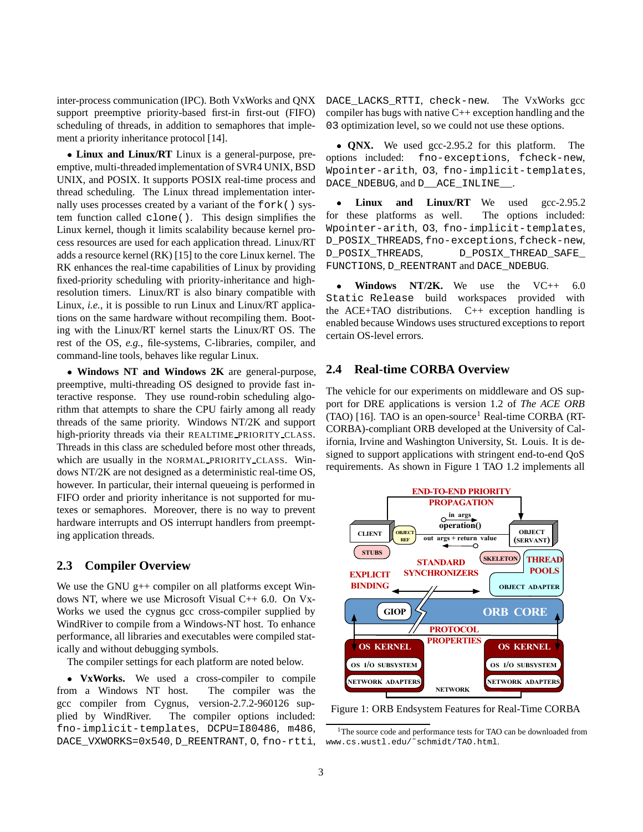inter-process communication (IPC). Both VxWorks and QNX support preemptive priority-based first-in first-out (FIFO) scheduling of threads, in addition to semaphores that implement a priority inheritance protocol [14].

 **Linux and Linux/RT** Linux is a general-purpose, preemptive, multi-threaded implementation of SVR4 UNIX, BSD UNIX, and POSIX. It supports POSIX real-time process and thread scheduling. The Linux thread implementation internally uses processes created by a variant of the fork() system function called clone(). This design simplifies the Linux kernel, though it limits scalability because kernel process resources are used for each application thread. Linux/RT adds a resource kernel (RK) [15] to the core Linux kernel. The RK enhances the real-time capabilities of Linux by providing fixed-priority scheduling with priority-inheritance and highresolution timers. Linux/RT is also binary compatible with Linux, *i.e.*, it is possible to run Linux and Linux/RT applications on the same hardware without recompiling them. Booting with the Linux/RT kernel starts the Linux/RT OS. The rest of the OS, *e.g.*, file-systems, C-libraries, compiler, and command-line tools, behaves like regular Linux.

 **Windows NT and Windows 2K** are general-purpose, preemptive, multi-threading OS designed to provide fast interactive response. They use round-robin scheduling algorithm that attempts to share the CPU fairly among all ready threads of the same priority. Windows NT/2K and support high-priority threads via their REALTIME PRIORITY CLASS. Threads in this class are scheduled before most other threads, which are usually in the NORMAL PRIORITY CLASS. Windows NT/2K are not designed as a deterministic real-time OS, however. In particular, their internal queueing is performed in FIFO order and priority inheritance is not supported for mutexes or semaphores. Moreover, there is no way to prevent hardware interrupts and OS interrupt handlers from preempting application threads.

### **2.3 Compiler Overview**

We use the GNU  $g++$  compiler on all platforms except Windows NT, where we use Microsoft Visual C++ 6.0. On Vx-Works we used the cygnus gcc cross-compiler supplied by WindRiver to compile from a Windows-NT host. To enhance performance, all libraries and executables were compiled statically and without debugging symbols.

The compiler settings for each platform are noted below.

 **VxWorks.** We used a cross-compiler to compile from a Windows NT host. The compiler was the gcc compiler from Cygnus, version-2.7.2-960126 supplied by WindRiver. The compiler options included: fno-implicit-templates, DCPU=I80486, m486, DACE\_VXWORKS=0x540, D\_REENTRANT, O, fno-rtti, DACE LACKS RTTI, check-new. The VxWorks gcc compiler has bugs with native  $C_{++}$  exception handling and the 03 optimization level, so we could not use these options.

 **QNX.** We used gcc-2.95.2 for this platform. The options included: fno-exceptions, fcheck-new, Wpointer-arith, O3, fno-implicit-templates, DACE\_NDEBUG, and D\_\_ACE\_INLINE\_\_.

۰ Linux and Linux/RT We used gcc-2.95.2 for these platforms as well. The options included: Wpointer-arith, O3, fno-implicit-templates, D\_POSIX\_THREADS, fno-exceptions, fcheck-new, D\_POSIX\_THREADS, D\_POSIX\_THREAD\_SAFE\_ FUNCTIONS, D\_REENTRANT and DACE\_NDEBUG.

۰ **Windows NT/2K.** We use the VC++ 6.0 Static Release build workspaces provided with the ACE+TAO distributions. C++ exception handling is enabled because Windows uses structured exceptions to report certain OS-level errors.

### **2.4 Real-time CORBA Overview**

The vehicle for our experiments on middleware and OS support for DRE applications is version 1.2 of *The ACE ORB* (TAO) [16]. TAO is an open-source<sup>1</sup> Real-time CORBA (RT-CORBA)-compliant ORB developed at the University of California, Irvine and Washington University, St. Louis. It is designed to support applications with stringent end-to-end QoS requirements. As shown in Figure 1 TAO 1.2 implements all



Figure 1: ORB Endsystem Features for Real-Time CORBA

<sup>&</sup>lt;sup>1</sup>The source code and performance tests for TAO can be downloaded from www.cs.wustl.edu/˜schmidt/TAO.html.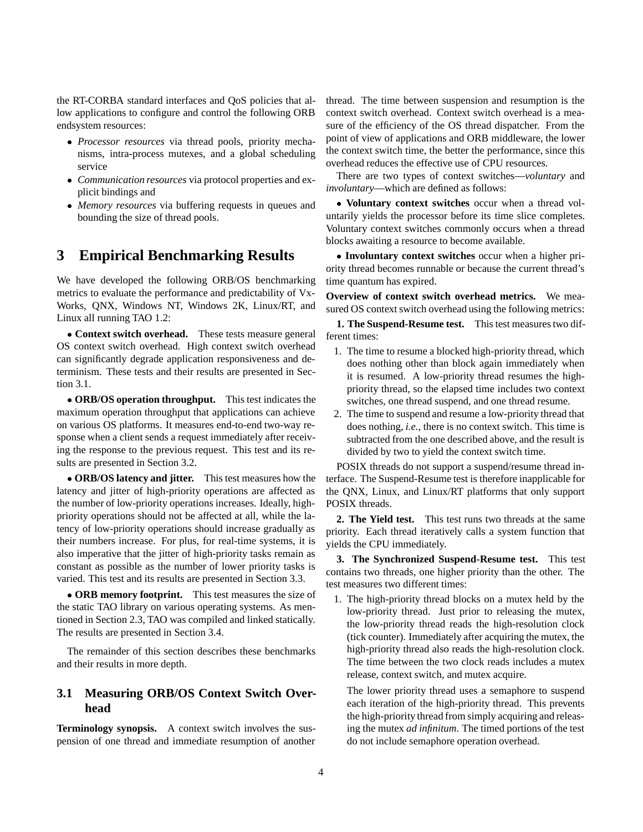the RT-CORBA standard interfaces and QoS policies that allow applications to configure and control the following ORB endsystem resources:

- *Processor resources* via thread pools, priority mechanisms, intra-process mutexes, and a global scheduling service
- *Communication resources* via protocol properties and explicit bindings and
- *Memory resources* via buffering requests in queues and bounding the size of thread pools.

### **3 Empirical Benchmarking Results**

We have developed the following ORB/OS benchmarking metrics to evaluate the performance and predictability of Vx-Works, QNX, Windows NT, Windows 2K, Linux/RT, and Linux all running TAO 1.2:

 **Context switch overhead.** These tests measure general OS context switch overhead. High context switch overhead can significantly degrade application responsiveness and determinism. These tests and their results are presented in Section 3.1.

 **ORB/OS operation throughput.** This test indicates the maximum operation throughput that applications can achieve on various OS platforms. It measures end-to-end two-way response when a client sends a request immediately after receiving the response to the previous request. This test and its results are presented in Section 3.2.

 **ORB/OS latency and jitter.** This test measures how the latency and jitter of high-priority operations are affected as the number of low-priority operations increases. Ideally, highpriority operations should not be affected at all, while the latency of low-priority operations should increase gradually as their numbers increase. For plus, for real-time systems, it is also imperative that the jitter of high-priority tasks remain as constant as possible as the number of lower priority tasks is varied. This test and its results are presented in Section 3.3.

 **ORB memory footprint.** This test measures the size of the static TAO library on various operating systems. As mentioned in Section 2.3, TAO was compiled and linked statically. The results are presented in Section 3.4.

The remainder of this section describes these benchmarks and their results in more depth.

### **3.1 Measuring ORB/OS Context Switch Overhead**

**Terminology synopsis.** A context switch involves the suspension of one thread and immediate resumption of another thread. The time between suspension and resumption is the context switch overhead. Context switch overhead is a measure of the efficiency of the OS thread dispatcher. From the point of view of applications and ORB middleware, the lower the context switch time, the better the performance, since this overhead reduces the effective use of CPU resources.

There are two types of context switches—*voluntary* and *involuntary*—which are defined as follows:

 **Voluntary context switches** occur when a thread voluntarily yields the processor before its time slice completes. Voluntary context switches commonly occurs when a thread blocks awaiting a resource to become available.

 **Involuntary context switches** occur when a higher priority thread becomes runnable or because the current thread's time quantum has expired.

**Overview of context switch overhead metrics.** We measured OS context switch overhead using the following metrics:

**1. The Suspend-Resume test.** This test measures two different times:

- 1. The time to resume a blocked high-priority thread, which does nothing other than block again immediately when it is resumed. A low-priority thread resumes the highpriority thread, so the elapsed time includes two context switches, one thread suspend, and one thread resume.
- 2. The time to suspend and resume a low-priority thread that does nothing, *i.e.*, there is no context switch. This time is subtracted from the one described above, and the result is divided by two to yield the context switch time.

POSIX threads do not support a suspend/resume thread interface. The Suspend-Resume test is therefore inapplicable for the QNX, Linux, and Linux/RT platforms that only support POSIX threads.

**2. The Yield test.** This test runs two threads at the same priority. Each thread iteratively calls a system function that yields the CPU immediately.

**3. The Synchronized Suspend-Resume test.** This test contains two threads, one higher priority than the other. The test measures two different times:

1. The high-priority thread blocks on a mutex held by the low-priority thread. Just prior to releasing the mutex, the low-priority thread reads the high-resolution clock (tick counter). Immediately after acquiring the mutex, the high-priority thread also reads the high-resolution clock. The time between the two clock reads includes a mutex release, context switch, and mutex acquire.

The lower priority thread uses a semaphore to suspend each iteration of the high-priority thread. This prevents the high-priority thread from simply acquiring and releasing the mutex *ad infinitum*. The timed portions of the test do not include semaphore operation overhead.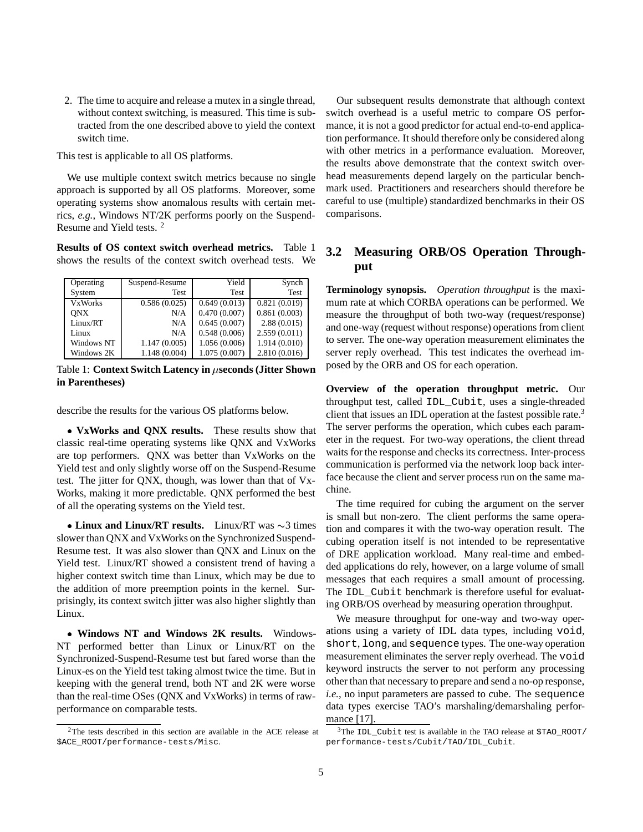2. The time to acquire and release a mutex in a single thread, without context switching, is measured. This time is subtracted from the one described above to yield the context switch time.

This test is applicable to all OS platforms.

We use multiple context switch metrics because no single approach is supported by all OS platforms. Moreover, some operating systems show anomalous results with certain metrics, *e.g.*, Windows NT/2K performs poorly on the Suspend-Resume and Yield tests. <sup>2</sup>

**Results of OS context switch overhead metrics.** Table 1 shows the results of the context switch overhead tests. We

| Operating      | Suspend-Resume | Yield        | Synch        |
|----------------|----------------|--------------|--------------|
| System         | Test           | Test         | Test         |
| <b>VxWorks</b> | 0.586(0.025)   | 0.649(0.013) | 0.821(0.019) |
| <b>ONX</b>     | N/A            | 0.470(0.007) | 0.861(0.003) |
| Linux/RT       | N/A            | 0.645(0.007) | 2.88(0.015)  |
| Linux          | N/A            | 0.548(0.006) | 2.559(0.011) |
| Windows NT     | 1.147(0.005)   | 1.056(0.006) | 1.914(0.010) |
| Windows 2K     | 1.148 (0.004)  | 1.075(0.007) | 2.810(0.016) |

Table 1: **Context Switch Latency in**  $\mu$ **seconds (Jitter Shown in Parentheses)**

describe the results for the various OS platforms below.

 **VxWorks and QNX results.** These results show that classic real-time operating systems like QNX and VxWorks are top performers. QNX was better than VxWorks on the Yield test and only slightly worse off on the Suspend-Resume test. The jitter for QNX, though, was lower than that of Vx-Works, making it more predictable. QNX performed the best of all the operating systems on the Yield test.

• Linux and Linux/RT results. Linux/RT was  $\sim$ 3 times slower than QNX and VxWorks on the Synchronized Suspend-Resume test. It was also slower than QNX and Linux on the Yield test. Linux/RT showed a consistent trend of having a higher context switch time than Linux, which may be due to the addition of more preemption points in the kernel. Surprisingly, its context switch jitter was also higher slightly than Linux.

 **Windows NT and Windows 2K results.** Windows-NT performed better than Linux or Linux/RT on the Synchronized-Suspend-Resume test but fared worse than the Linux-es on the Yield test taking almost twice the time. But in keeping with the general trend, both NT and 2K were worse than the real-time OSes (QNX and VxWorks) in terms of rawperformance on comparable tests.

Our subsequent results demonstrate that although context switch overhead is a useful metric to compare OS performance, it is not a good predictor for actual end-to-end application performance. It should therefore only be considered along with other metrics in a performance evaluation. Moreover, the results above demonstrate that the context switch overhead measurements depend largely on the particular benchmark used. Practitioners and researchers should therefore be careful to use (multiple) standardized benchmarks in their OS comparisons.

### **3.2 Measuring ORB/OS Operation Throughput**

**Terminology synopsis.** *Operation throughput* is the maximum rate at which CORBA operations can be performed. We measure the throughput of both two-way (request/response) and one-way (request without response) operations from client to server. The one-way operation measurement eliminates the server reply overhead. This test indicates the overhead imposed by the ORB and OS for each operation.

**Overview of the operation throughput metric.** Our throughput test, called IDL\_Cubit, uses a single-threaded client that issues an IDL operation at the fastest possible rate.<sup>3</sup> The server performs the operation, which cubes each parameter in the request. For two-way operations, the client thread waits for the response and checks its correctness. Inter-process communication is performed via the network loop back interface because the client and server process run on the same machine.

The time required for cubing the argument on the server is small but non-zero. The client performs the same operation and compares it with the two-way operation result. The cubing operation itself is not intended to be representative of DRE application workload. Many real-time and embedded applications do rely, however, on a large volume of small messages that each requires a small amount of processing. The IDL\_Cubit benchmark is therefore useful for evaluating ORB/OS overhead by measuring operation throughput.

We measure throughput for one-way and two-way operations using a variety of IDL data types, including void, short, long, and sequence types. The one-way operation measurement eliminates the server reply overhead. The void keyword instructs the server to not perform any processing other than that necessary to prepare and send a no-op response, *i.e.*, no input parameters are passed to cube. The sequence data types exercise TAO's marshaling/demarshaling performance [17].

<sup>2</sup>The tests described in this section are available in the ACE release at \$ACE\_ROOT/performance-tests/Misc.

 $3$ The IDL Cubit test is available in the TAO release at \$TAO\_ROOT/ performance-tests/Cubit/TAO/IDL\_Cubit.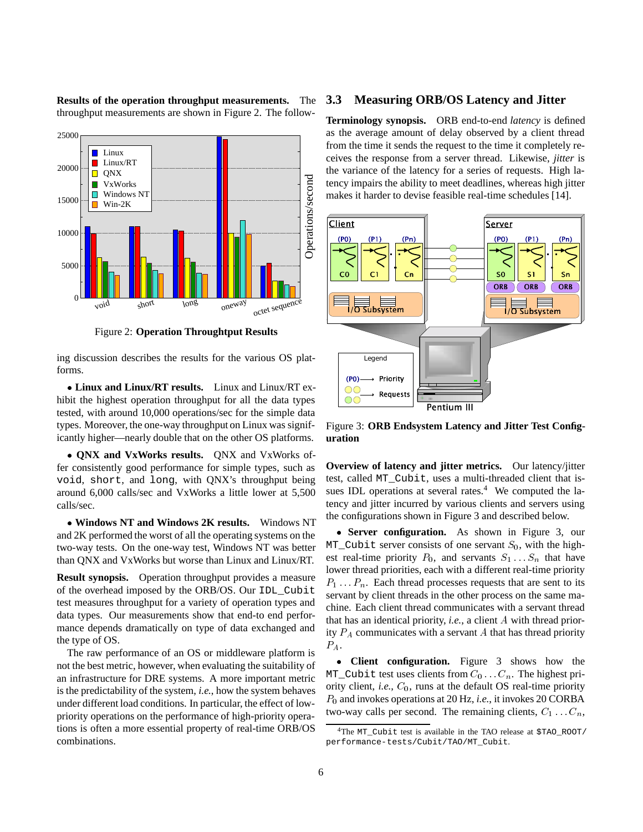

**Results of the operation throughput measurements.** The throughput measurements are shown in Figure 2. The follow-

Figure 2: **Operation Throughtput Results**

ing discussion describes the results for the various OS platforms.

 **Linux and Linux/RT results.** Linux and Linux/RT exhibit the highest operation throughput for all the data types tested, with around 10,000 operations/sec for the simple data types. Moreover, the one-way throughput on Linux was significantly higher—nearly double that on the other OS platforms.

 **QNX and VxWorks results.** QNX and VxWorks offer consistently good performance for simple types, such as void, short, and long, with QNX's throughput being around 6,000 calls/sec and VxWorks a little lower at 5,500 calls/sec.

 **Windows NT and Windows 2K results.** Windows NT and 2K performed the worst of all the operating systems on the two-way tests. On the one-way test, Windows NT was better than QNX and VxWorks but worse than Linux and Linux/RT.

**Result synopsis.** Operation throughput provides a measure of the overhead imposed by the ORB/OS. Our IDL\_Cubit test measures throughput for a variety of operation types and data types. Our measurements show that end-to end performance depends dramatically on type of data exchanged and the type of OS.

The raw performance of an OS or middleware platform is not the best metric, however, when evaluating the suitability of an infrastructure for DRE systems. A more important metric is the predictability of the system, *i.e.*, how the system behaves under different load conditions. In particular, the effect of lowpriority operations on the performance of high-priority operations is often a more essential property of real-time ORB/OS combinations.

#### **3.3 Measuring ORB/OS Latency and Jitter**

**Terminology synopsis.** ORB end-to-end *latency* is defined as the average amount of delay observed by a client thread from the time it sends the request to the time it completely receives the response from a server thread. Likewise, *jitter* is the variance of the latency for a series of requests. High latency impairs the ability to meet deadlines, whereas high jitter makes it harder to devise feasible real-time schedules [14].



Figure 3: **ORB Endsystem Latency and Jitter Test Configuration**

**Overview of latency and jitter metrics.** Our latency/jitter test, called MT\_Cubit, uses a multi-threaded client that issues IDL operations at several rates.<sup>4</sup> We computed the latency and jitter incurred by various clients and servers using the configurations shown in Figure 3 and described below.

 **Server configuration.** As shown in Figure 3, our  $MT_Cubit$  server consists of one servant  $S_0$ , with the highest real-time priority  $P_0$ , and servants  $S_1 \ldots S_n$  that have lower thread priorities, each with a different real-time priority  $P_1 \ldots P_n$ . Each thread processes requests that are sent to its servant by client threads in the other process on the same machine. Each client thread communicates with a servant thread that has an identical priority, *i.e.*, a client A with thread priority  $P_A$  communicates with a servant A that has thread priority  $P_A$ .

 **Client configuration.** Figure 3 shows how the MT\_Cubit test uses clients from  $C_0 \ldots C_n$ . The highest priority client, *i.e.*,  $C_0$ , runs at the default OS real-time priority P0 and invokes operations at 20 Hz, *i.e.*, it invokes 20 CORBA two-way calls per second. The remaining clients,  $C_1 \ldots C_n$ ,

<sup>&</sup>lt;sup>4</sup>The MT\_Cubit test is available in the TAO release at \$TAO\_ROOT/ performance-tests/Cubit/TAO/MT\_Cubit.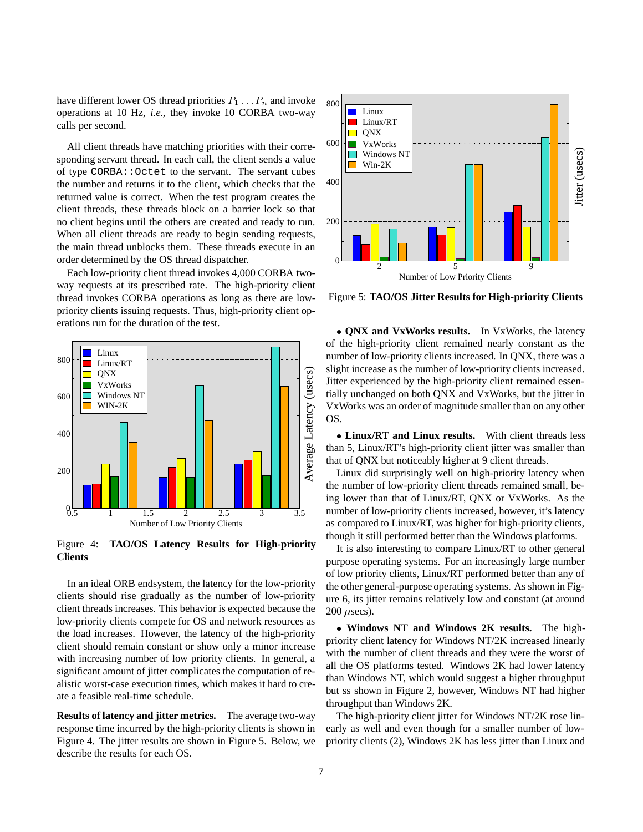have different lower OS thread priorities  $P_1 \ldots P_n$  and invoke operations at 10 Hz, *i.e.*, they invoke 10 CORBA two-way calls per second.

All client threads have matching priorities with their corresponding servant thread. In each call, the client sends a value of type CORBA::Octet to the servant. The servant cubes the number and returns it to the client, which checks that the returned value is correct. When the test program creates the client threads, these threads block on a barrier lock so that no client begins until the others are created and ready to run. When all client threads are ready to begin sending requests, the main thread unblocks them. These threads execute in an order determined by the OS thread dispatcher.

Each low-priority client thread invokes 4,000 CORBA twoway requests at its prescribed rate. The high-priority client thread invokes CORBA operations as long as there are lowpriority clients issuing requests. Thus, high-priority client operations run for the duration of the test.



Figure 4: **TAO/OS Latency Results for High-priority Clients**

In an ideal ORB endsystem, the latency for the low-priority clients should rise gradually as the number of low-priority client threads increases. This behavior is expected because the low-priority clients compete for OS and network resources as the load increases. However, the latency of the high-priority client should remain constant or show only a minor increase with increasing number of low priority clients. In general, a significant amount of jitter complicates the computation of realistic worst-case execution times, which makes it hard to create a feasible real-time schedule.

**Results of latency and jitter metrics.** The average two-way response time incurred by the high-priority clients is shown in Figure 4. The jitter results are shown in Figure 5. Below, we describe the results for each OS.



Figure 5: **TAO/OS Jitter Results for High-priority Clients**

 **QNX and VxWorks results.** In VxWorks, the latency of the high-priority client remained nearly constant as the number of low-priority clients increased. In QNX, there was a slight increase as the number of low-priority clients increased. Jitter experienced by the high-priority client remained essentially unchanged on both QNX and VxWorks, but the jitter in VxWorks was an order of magnitude smaller than on any other OS.

 **Linux/RT and Linux results.** With client threads less than 5, Linux/RT's high-priority client jitter was smaller than that of QNX but noticeably higher at 9 client threads.

Linux did surprisingly well on high-priority latency when the number of low-priority client threads remained small, being lower than that of Linux/RT, QNX or VxWorks. As the number of low-priority clients increased, however, it's latency as compared to Linux/RT, was higher for high-priority clients, though it still performed better than the Windows platforms.

It is also interesting to compare Linux/RT to other general purpose operating systems. For an increasingly large number of low priority clients, Linux/RT performed better than any of the other general-purpose operating systems. As shown in Figure 6, its jitter remains relatively low and constant (at around  $200$   $\mu$ secs).

 **Windows NT and Windows 2K results.** The highpriority client latency for Windows NT/2K increased linearly with the number of client threads and they were the worst of all the OS platforms tested. Windows 2K had lower latency than Windows NT, which would suggest a higher throughput but ss shown in Figure 2, however, Windows NT had higher throughput than Windows 2K.

The high-priority client jitter for Windows NT/2K rose linearly as well and even though for a smaller number of lowpriority clients (2), Windows 2K has less jitter than Linux and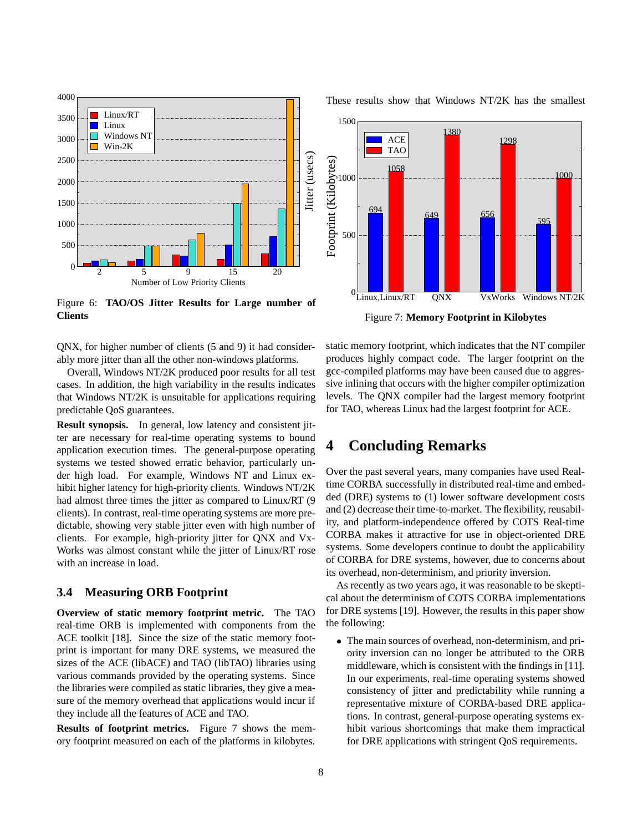

Figure 6: **TAO/OS Jitter Results for Large number of Clients**

QNX, for higher number of clients (5 and 9) it had considerably more jitter than all the other non-windows platforms.

Overall, Windows NT/2K produced poor results for all test cases. In addition, the high variability in the results indicates that Windows NT/2K is unsuitable for applications requiring predictable QoS guarantees.

**Result synopsis.** In general, low latency and consistent jitter are necessary for real-time operating systems to bound application execution times. The general-purpose operating systems we tested showed erratic behavior, particularly under high load. For example, Windows NT and Linux exhibit higher latency for high-priority clients. Windows NT/2K had almost three times the jitter as compared to Linux/RT (9) clients). In contrast, real-time operating systems are more predictable, showing very stable jitter even with high number of clients. For example, high-priority jitter for QNX and Vx-Works was almost constant while the jitter of Linux/RT rose with an increase in load.

#### **3.4 Measuring ORB Footprint**

**Overview of static memory footprint metric.** The TAO real-time ORB is implemented with components from the ACE toolkit [18]. Since the size of the static memory footprint is important for many DRE systems, we measured the sizes of the ACE (libACE) and TAO (libTAO) libraries using various commands provided by the operating systems. Since the libraries were compiled as static libraries, they give a measure of the memory overhead that applications would incur if they include all the features of ACE and TAO.

**Results of footprint metrics.** Figure 7 shows the memory footprint measured on each of the platforms in kilobytes.

These results show that Windows NT/2K has the smallest



Figure 7: **Memory Footprint in Kilobytes**

static memory footprint, which indicates that the NT compiler produces highly compact code. The larger footprint on the gcc-compiled platforms may have been caused due to aggressive inlining that occurs with the higher compiler optimization levels. The QNX compiler had the largest memory footprint for TAO, whereas Linux had the largest footprint for ACE.

### **4 Concluding Remarks**

Over the past several years, many companies have used Realtime CORBA successfully in distributed real-time and embedded (DRE) systems to (1) lower software development costs and (2) decrease their time-to-market. The flexibility, reusability, and platform-independence offered by COTS Real-time CORBA makes it attractive for use in object-oriented DRE systems. Some developers continue to doubt the applicability of CORBA for DRE systems, however, due to concerns about its overhead, non-determinism, and priority inversion.

As recently as two years ago, it was reasonable to be skeptical about the determinism of COTS CORBA implementations for DRE systems [19]. However, the results in this paper show the following:

 The main sources of overhead, non-determinism, and priority inversion can no longer be attributed to the ORB middleware, which is consistent with the findings in [11]. In our experiments, real-time operating systems showed consistency of jitter and predictability while running a representative mixture of CORBA-based DRE applications. In contrast, general-purpose operating systems exhibit various shortcomings that make them impractical for DRE applications with stringent QoS requirements.